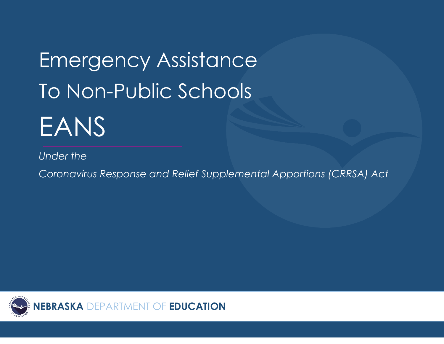Emergency Assistance To Non-Public Schools EANS

*Under the*

*Coronavirus Response and Relief Supplemental Apportions (CRRSA) Act*

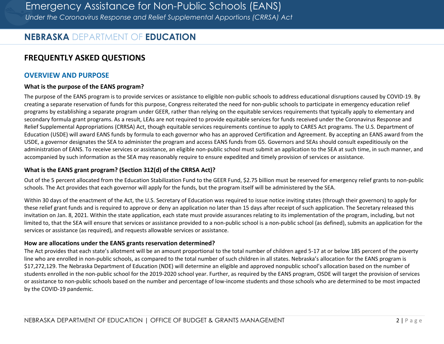# **NEBRASKA** DEPARTMENT OF **EDUCATION**

# **FREQUENTLY ASKED QUESTIONS**

#### **OVERVIEW AND PURPOSE**

#### **What is the purpose of the EANS program?**

The purpose of the EANS program is to provide services or assistance to eligible non-public schools to address educational disruptions caused by COVID-19. By creating a separate reservation of funds for this purpose, Congress reiterated the need for non-public schools to participate in emergency education relief programs by establishing a separate program under GEER, rather than relying on the equitable services requirements that typically apply to elementary and secondary formula grant programs. As a result, LEAs are not required to provide equitable services for funds received under the Coronavirus Response and Relief Supplemental Appropriations (CRRSA) Act, though equitable services requirements continue to apply to CARES Act programs. The U.S. Department of Education (USDE) will award EANS funds by formula to each governor who has an approved Certification and Agreement. By accepting an EANS award from the USDE, a governor designates the SEA to administer the program and access EANS funds from G5. Governors and SEAs should consult expeditiously on the administration of EANS. To receive services or assistance, an eligible non-public school must submit an application to the SEA at such time, in such manner, and accompanied by such information as the SEA may reasonably require to ensure expedited and timely provision of services or assistance.

#### **What is the EANS grant program? (Section 312(d) of the CRRSA Act)?**

Out of the 5 percent allocated from the Education Stabilization Fund to the GEER Fund, \$2.75 billion must be reserved for emergency relief grants to non-public schools. The Act provides that each governor will apply for the funds, but the program itself will be administered by the SEA.

Within 30 days of the enactment of the Act, the U.S. Secretary of Education was required to issue notice inviting states (through their governors) to apply for these relief grant funds and is required to approve or deny an application no later than 15 days after receipt of such application. The Secretary released this invitation on Jan. 8, 2021. Within the state application, each state must provide assurances relating to its implementation of the program, including, but not limited to, that the SEA will ensure that services or assistance provided to a non-public school is a non-public school (as defined), submits an application for the services or assistance (as required), and requests allowable services or assistance.

#### **How are allocations under the EANS grants reservation determined?**

The Act provides that each state's allotment will be an amount proportional to the total number of children aged 5-17 at or below 185 percent of the poverty line who are enrolled in non-public schools, as compared to the total number of such children in all states. Nebraska's allocation for the EANS program is \$17,272,129. The Nebraska Department of Education (NDE) will determine an eligible and approved nonpublic school's allocation based on the number of students enrolled in the non-public school for the 2019-2020 school year. Further, as required by the EANS program, OSDE will target the provision of services or assistance to non-public schools based on the number and percentage of low-income students and those schools who are determined to be most impacted by the COVID-19 pandemic.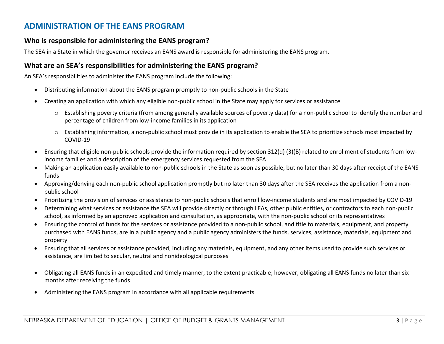## **ADMINISTRATION OF THE EANS PROGRAM**

#### **Who is responsible for administering the EANS program?**

The SEA in a State in which the governor receives an EANS award is responsible for administering the EANS program.

### **What are an SEA's responsibilities for administering the EANS program?**

An SEA's responsibilities to administer the EANS program include the following:

- Distributing information about the EANS program promptly to non-public schools in the State
- Creating an application with which any eligible non-public school in the State may apply for services or assistance
	- o Establishing poverty criteria (from among generally available sources of poverty data) for a non-public school to identify the number and percentage of children from low-income families in its application
	- o Establishing information, a non-public school must provide in its application to enable the SEA to prioritize schools most impacted by COVID-19
- Ensuring that eligible non-public schools provide the information required by section 312(d) (3)(B) related to enrollment of students from lowincome families and a description of the emergency services requested from the SEA
- Making an application easily available to non-public schools in the State as soon as possible, but no later than 30 days after receipt of the EANS funds
- Approving/denying each non-public school application promptly but no later than 30 days after the SEA receives the application from a nonpublic school
- Prioritizing the provision of services or assistance to non-public schools that enroll low-income students and are most impacted by COVID-19
- Determining what services or assistance the SEA will provide directly or through LEAs, other public entities, or contractors to each non-public school, as informed by an approved application and consultation, as appropriate, with the non-public school or its representatives
- Ensuring the control of funds for the services or assistance provided to a non-public school, and title to materials, equipment, and property purchased with EANS funds, are in a public agency and a public agency administers the funds, services, assistance, materials, equipment and property
- Ensuring that all services or assistance provided, including any materials, equipment, and any other items used to provide such services or assistance, are limited to secular, neutral and nonideological purposes
- Obligating all EANS funds in an expedited and timely manner, to the extent practicable; however, obligating all EANS funds no later than six months after receiving the funds
- Administering the EANS program in accordance with all applicable requirements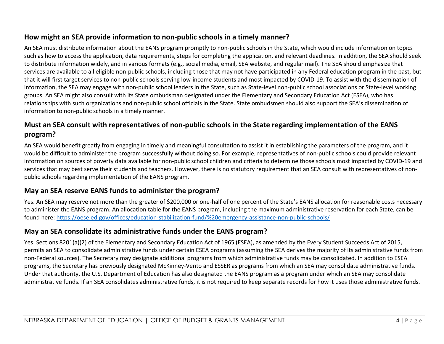## **How might an SEA provide information to non-public schools in a timely manner?**

An SEA must distribute information about the EANS program promptly to non-public schools in the State, which would include information on topics such as how to access the application, data requirements, steps for completing the application, and relevant deadlines. In addition, the SEA should seek to distribute information widely, and in various formats (e.g., social media, email, SEA website, and regular mail). The SEA should emphasize that services are available to all eligible non-public schools, including those that may not have participated in any Federal education program in the past, but that it will first target services to non-public schools serving low-income students and most impacted by COVID-19. To assist with the dissemination of information, the SEA may engage with non-public school leaders in the State, such as State-level non-public school associations or State-level working groups. An SEA might also consult with its State ombudsman designated under the Elementary and Secondary Education Act (ESEA), who has relationships with such organizations and non-public school officials in the State. State ombudsmen should also support the SEA's dissemination of information to non-public schools in a timely manner.

### **Must an SEA consult with representatives of non-public schools in the State regarding implementation of the EANS program?**

An SEA would benefit greatly from engaging in timely and meaningful consultation to assist it in establishing the parameters of the program, and it would be difficult to administer the program successfully without doing so. For example, representatives of non-public schools could provide relevant information on sources of poverty data available for non-public school children and criteria to determine those schools most impacted by COVID-19 and services that may best serve their students and teachers. However, there is no statutory requirement that an SEA consult with representatives of nonpublic schools regarding implementation of the EANS program.

### **May an SEA reserve EANS funds to administer the program?**

Yes. An SEA may reserve not more than the greater of \$200,000 or one-half of one percent of the State's EANS allocation for reasonable costs necessary to administer the EANS program. An allocation table for the EANS program, including the maximum administrative reservation for each State, can be found here[: https://oese.ed.gov/offices/education-stabilization-fund/%20emergency-assistance-non-public-schools/](https://oese.ed.gov/offices/education-stabilization-fund/%20emergency-assistance-non-public-schools/)

### **May an SEA consolidate its administrative funds under the EANS program?**

Yes. Sections 8201(a)(2) of the Elementary and Secondary Education Act of 1965 (ESEA), as amended by the Every Student Succeeds Act of 2015, permits an SEA to consolidate administrative funds under certain ESEA programs (assuming the SEA derives the majority of its administrative funds from non-Federal sources). The Secretary may designate additional programs from which administrative funds may be consolidated. In addition to ESEA programs, the Secretary has previously designated McKinney-Vento and ESSER as programs from which an SEA may consolidate administrative funds. Under that authority, the U.S. Department of Education has also designated the EANS program as a program under which an SEA may consolidate administrative funds. If an SEA consolidates administrative funds, it is not required to keep separate records for how it uses those administrative funds.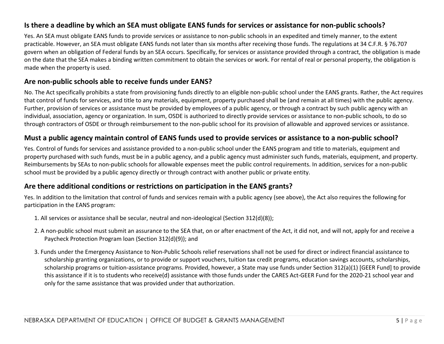### **Is there a deadline by which an SEA must obligate EANS funds for services or assistance for non-public schools?**

Yes. An SEA must obligate EANS funds to provide services or assistance to non-public schools in an expedited and timely manner, to the extent practicable. However, an SEA must obligate EANS funds not later than six months after receiving those funds. The regulations at 34 C.F.R. § 76.707 govern when an obligation of Federal funds by an SEA occurs. Specifically, for services or assistance provided through a contract, the obligation is made on the date that the SEA makes a binding written commitment to obtain the services or work. For rental of real or personal property, the obligation is made when the property is used.

#### **Are non-public schools able to receive funds under EANS?**

No. The Act specifically prohibits a state from provisioning funds directly to an eligible non-public school under the EANS grants. Rather, the Act requires that control of funds for services, and title to any materials, equipment, property purchased shall be (and remain at all times) with the public agency. Further, provision of services or assistance must be provided by employees of a public agency, or through a contract by such public agency with an individual, association, agency or organization. In sum, OSDE is authorized to directly provide services or assistance to non-public schools, to do so through contractors of OSDE or through reimbursement to the non-public school for its provision of allowable and approved services or assistance.

#### **Must a public agency maintain control of EANS funds used to provide services or assistance to a non-public school?**

Yes. Control of funds for services and assistance provided to a non-public school under the EANS program and title to materials, equipment and property purchased with such funds, must be in a public agency, and a public agency must administer such funds, materials, equipment, and property. Reimbursements by SEAs to non-public schools for allowable expenses meet the public control requirements. In addition, services for a non-public school must be provided by a public agency directly or through contract with another public or private entity.

### **Are there additional conditions or restrictions on participation in the EANS grants?**

Yes. In addition to the limitation that control of funds and services remain with a public agency (see above), the Act also requires the following for participation in the EANS program:

- 1. All services or assistance shall be secular, neutral and non-ideological (Section 312(d)(8));
- 2. A non-public school must submit an assurance to the SEA that, on or after enactment of the Act, it did not, and will not, apply for and receive a Paycheck Protection Program loan (Section 312(d)(9)); and
- 3. Funds under the Emergency Assistance to Non-Public Schools relief reservations shall not be used for direct or indirect financial assistance to scholarship granting organizations, or to provide or support vouchers, tuition tax credit programs, education savings accounts, scholarships, scholarship programs or tuition-assistance programs. Provided, however, a State may use funds under Section 312(a)(1) [GEER Fund] to provide this assistance if it is to students who receive(d) assistance with those funds under the CARES Act-GEER Fund for the 2020-21 school year and only for the same assistance that was provided under that authorization.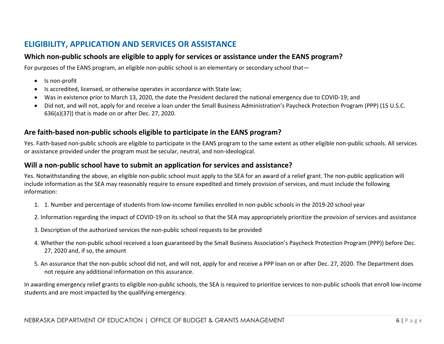# **ELIGIBILITY, APPLICATION AND SERVICES OR ASSISTANCE**

### **Which non-public schools are eligible to apply for services or assistance under the EANS program?**

For purposes of the EANS program, an eligible non-public school is an elementary or secondary school that—

- Is non-profit
- Is accredited, licensed, or otherwise operates in accordance with State law;
- Was in existence prior to March 13, 2020, the date the President declared the national emergency due to COVID-19; and
- Did not, and will not, apply for and receive a loan under the Small Business Administration's Paycheck Protection Program (PPP) (15 U.S.C. 636(a)(37)) that is made on or after Dec. 27, 2020.

### **Are faith-based non-public schools eligible to participate in the EANS program?**

Yes. Faith-based non-public schools are eligible to participate in the EANS program to the same extent as other eligible non-public schools. All services or assistance provided under the program must be secular, neutral, and non-ideological.

#### **Will a non-public school have to submit an application for services and assistance?**

Yes. Notwithstanding the above, an eligible non-public school must apply to the SEA for an award of a relief grant. The non-public application will include information as the SEA may reasonably require to ensure expedited and timely provision of services, and must include the following information:

- 1. 1. Number and percentage of students from low-income families enrolled in non-public schools in the 2019-20 school year
- 2. Information regarding the impact of COVID-19 on its school so that the SEA may appropriately prioritize the provision of services and assistance
- 3. Description of the authorized services the non-public school requests to be provided
- 4. Whether the non-public school received a loan guaranteed by the Small Business Association's Paycheck Protection Program (PPP)) before Dec. 27, 2020 and, if so, the amount
- 5. An assurance that the non-public school did not, and will not, apply for and receive a PPP loan on or after Dec. 27, 2020. The Department does not require any additional information on this assurance.

In awarding emergency relief grants to eligible non-public schools, the SEA is required to prioritize services to non-public schools that enroll low-income students and are most impacted by the qualifying emergency.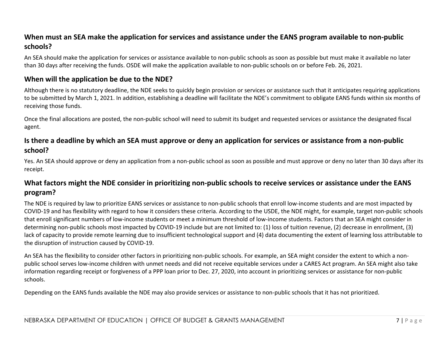## **When must an SEA make the application for services and assistance under the EANS program available to non-public schools?**

An SEA should make the application for services or assistance available to non-public schools as soon as possible but must make it available no later than 30 days after receiving the funds. OSDE will make the application available to non-public schools on or before Feb. 26, 2021.

### **When will the application be due to the NDE?**

Although there is no statutory deadline, the NDE seeks to quickly begin provision or services or assistance such that it anticipates requiring applications to be submitted by March 1, 2021. In addition, establishing a deadline will facilitate the NDE's commitment to obligate EANS funds within six months of receiving those funds.

Once the final allocations are posted, the non-public school will need to submit its budget and requested services or assistance the designated fiscal agent.

### **Is there a deadline by which an SEA must approve or deny an application for services or assistance from a non-public school?**

Yes. An SEA should approve or deny an application from a non-public school as soon as possible and must approve or deny no later than 30 days after its receipt.

### **What factors might the NDE consider in prioritizing non-public schools to receive services or assistance under the EANS program?**

The NDE is required by law to prioritize EANS services or assistance to non-public schools that enroll low-income students and are most impacted by COVID-19 and has flexibility with regard to how it considers these criteria. According to the USDE, the NDE might, for example, target non-public schools that enroll significant numbers of low-income students or meet a minimum threshold of low-income students. Factors that an SEA might consider in determining non-public schools most impacted by COVID-19 include but are not limited to: (1) loss of tuition revenue, (2) decrease in enrollment, (3) lack of capacity to provide remote learning due to insufficient technological support and (4) data documenting the extent of learning loss attributable to the disruption of instruction caused by COVID-19.

An SEA has the flexibility to consider other factors in prioritizing non-public schools. For example, an SEA might consider the extent to which a nonpublic school serves low-income children with unmet needs and did not receive equitable services under a CARES Act program. An SEA might also take information regarding receipt or forgiveness of a PPP loan prior to Dec. 27, 2020, into account in prioritizing services or assistance for non-public schools.

Depending on the EANS funds available the NDE may also provide services or assistance to non-public schools that it has not prioritized.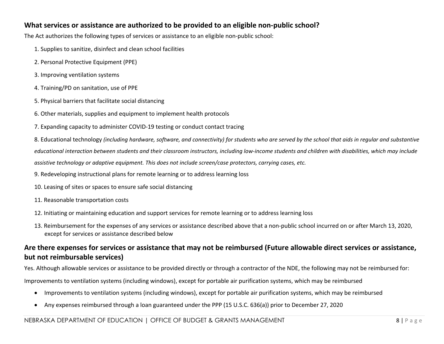### **What services or assistance are authorized to be provided to an eligible non-public school?**

The Act authorizes the following types of services or assistance to an eligible non-public school:

- 1. Supplies to sanitize, disinfect and clean school facilities
- 2. Personal Protective Equipment (PPE)
- 3. Improving ventilation systems
- 4. Training/PD on sanitation, use of PPE
- 5. Physical barriers that facilitate social distancing
- 6. Other materials, supplies and equipment to implement health protocols
- 7. Expanding capacity to administer COVID-19 testing or conduct contact tracing

8. Educational technology *(including hardware, software, and connectivity) for students who are served by the school that aids in regular and substantive educational interaction between students and their classroom instructors, including low-income students and children with disabilities, which may include assistive technology or adaptive equipment. This does not include screen/case protectors, carrying cases, etc.*

- 9. Redeveloping instructional plans for remote learning or to address learning loss
- 10. Leasing of sites or spaces to ensure safe social distancing
- 11. Reasonable transportation costs
- 12. Initiating or maintaining education and support services for remote learning or to address learning loss
- 13. Reimbursement for the expenses of any services or assistance described above that a non-public school incurred on or after March 13, 2020, except for services or assistance described below

### **Are there expenses for services or assistance that may not be reimbursed (Future allowable direct services or assistance, but not reimbursable services)**

Yes. Although allowable services or assistance to be provided directly or through a contractor of the NDE, the following may not be reimbursed for:

Improvements to ventilation systems (including windows), except for portable air purification systems, which may be reimbursed

- Improvements to ventilation systems (including windows), except for portable air purification systems, which may be reimbursed
- Any expenses reimbursed through a loan guaranteed under the PPP (15 U.S.C. 636(a)) prior to December 27, 2020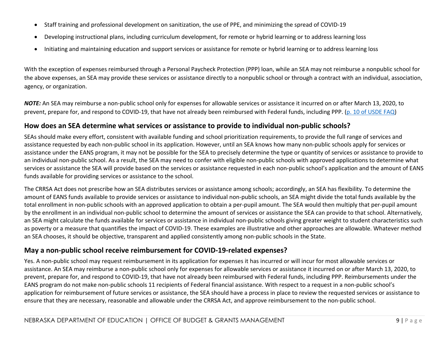- Staff training and professional development on sanitization, the use of PPE, and minimizing the spread of COVID-19
- Developing instructional plans, including curriculum development, for remote or hybrid learning or to address learning loss
- Initiating and maintaining education and support services or assistance for remote or hybrid learning or to address learning loss

With the exception of expenses reimbursed through a Personal Paycheck Protection (PPP) loan, while an SEA may not reimburse a nonpublic school for the above expenses, an SEA may provide these services or assistance directly to a nonpublic school or through a contract with an individual, association, agency, or organization.

*NOTE:* An SEA may reimburse a non-public school only for expenses for allowable services or assistance it incurred on or after March 13, 2020, to prevent, prepare for, and respond to COVID-19, that have not already been reimbursed with Federal funds, including PPP. [\(p. 10 of USDE FAQ\)](https://www.acsi.org/docs/default-source/website-publishing/legal-legislative/ll-covid-resources/final_eans_faqs_1-14-21.pdf?sfvrsn=1574a0c8_2)

#### **How does an SEA determine what services or assistance to provide to individual non-public schools?**

SEAs should make every effort, consistent with available funding and school prioritization requirements, to provide the full range of services and assistance requested by each non-public school in its application. However, until an SEA knows how many non-public schools apply for services or assistance under the EANS program, it may not be possible for the SEA to precisely determine the type or quantity of services or assistance to provide to an individual non-public school. As a result, the SEA may need to confer with eligible non-public schools with approved applications to determine what services or assistance the SEA will provide based on the services or assistance requested in each non-public school's application and the amount of EANS funds available for providing services or assistance to the school.

The CRRSA Act does not prescribe how an SEA distributes services or assistance among schools; accordingly, an SEA has flexibility. To determine the amount of EANS funds available to provide services or assistance to individual non-public schools, an SEA might divide the total funds available by the total enrollment in non-public schools with an approved application to obtain a per-pupil amount. The SEA would then multiply that per-pupil amount by the enrollment in an individual non-public school to determine the amount of services or assistance the SEA can provide to that school. Alternatively, an SEA might calculate the funds available for services or assistance in individual non-public schools giving greater weight to student characteristics such as poverty or a measure that quantifies the impact of COVID-19. These examples are illustrative and other approaches are allowable. Whatever method an SEA chooses, it should be objective, transparent and applied consistently among non-public schools in the State.

### **May a non-public school receive reimbursement for COVID-19-related expenses?**

Yes. A non-public school may request reimbursement in its application for expenses it has incurred or will incur for most allowable services or assistance. An SEA may reimburse a non-public school only for expenses for allowable services or assistance it incurred on or after March 13, 2020, to prevent, prepare for, and respond to COVID-19, that have not already been reimbursed with Federal funds, including PPP. Reimbursements under the EANS program do not make non-public schools 11 recipients of Federal financial assistance. With respect to a request in a non-public school's application for reimbursement of future services or assistance, the SEA should have a process in place to review the requested services or assistance to ensure that they are necessary, reasonable and allowable under the CRRSA Act, and approve reimbursement to the non-public school.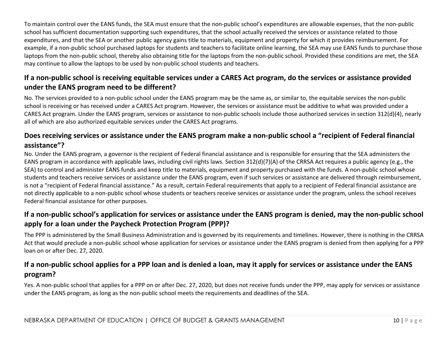To maintain control over the EANS funds, the SEA must ensure that the non-public school's expenditures are allowable expenses, that the non-public school has sufficient documentation supporting such expenditures, that the school actually received the services or assistance related to those expenditures, and that the SEA or another public agency gains title to materials, equipment and property for which it provides reimbursement. For example, if a non-public school purchased laptops for students and teachers to facilitate online learning, the SEA may use EANS funds to purchase those laptops from the non-public school, thereby also obtaining title for the laptops from the non-public school. Provided these conditions are met, the SEA may continue to allow the laptops to be used by non-public school students and teachers.

## **If a non-public school is receiving equitable services under a CARES Act program, do the services or assistance provided under the EANS program need to be different?**

No. The services provided to a non-public school under the EANS program may be the same as, or similar to, the equitable services the non-public school is receiving or has received under a CARES Act program. However, the services or assistance must be additive to what was provided under a CARES Act program. Under the EANS program, services or assistance to non-public schools include those authorized services in section 312(d)(4), nearly all of which are also authorized equitable services under the CARES Act programs.

## **Does receiving services or assistance under the EANS program make a non-public school a "recipient of Federal financial assistance"?**

No. Under the EANS program, a governor is the recipient of Federal financial assistance and is responsible for ensuring that the SEA administers the EANS program in accordance with applicable laws, including civil rights laws. Section 312(d)(7)(A) of the CRRSA Act requires a public agency (e.g., the SEA) to control and administer EANS funds and keep title to materials, equipment and property purchased with the funds. A non-public school whose students and teachers receive services or assistance under the EANS program, even if such services or assistance are delivered through reimbursement, is not a "recipient of Federal financial assistance." As a result, certain Federal requirements that apply to a recipient of Federal financial assistance are not directly applicable to a non-public school whose students or teachers receive services or assistance under the program, unless the school receives Federal financial assistance for other purposes.

## **If a non-public school's application for services or assistance under the EANS program is denied, may the non-public school apply for a loan under the Paycheck Protection Program (PPP)?**

The PPP is administered by the Small Business Administration and is governed by its requirements and timelines. However, there is nothing in the CRRSA Act that would preclude a non-public school whose application for services or assistance under the EANS program is denied from then applying for a PPP loan on or after Dec. 27, 2020.

## **If a non-public school applies for a PPP loan and is denied a loan, may it apply for services or assistance under the EANS program?**

Yes. A non-public school that applies for a PPP on or after Dec. 27, 2020, but does not receive funds under the PPP, may apply for services or assistance under the EANS program, as long as the non-public school meets the requirements and deadlines of the SEA.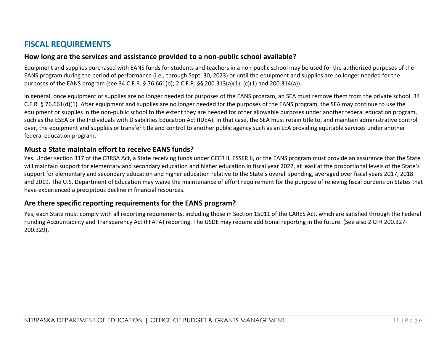## **FISCAL REQUIREMENTS**

#### **How long are the services and assistance provided to a non-public school available?**

Equipment and supplies purchased with EANS funds for students and teachers in a non-public school may be used for the authorized purposes of the EANS program during the period of performance (i.e., through Sept. 30, 2023) or until the equipment and supplies are no longer needed for the purposes of the EANS program (see 34 C.F.R. § 76.661(b); 2 C.F.R. §§ 200.313(a)(1), (c)(1) and 200.314(a)).

In general, once equipment or supplies are no longer needed for purposes of the EANS program, an SEA must remove them from the private school. 34 C.F.R. § 76.661(d)(1). After equipment and supplies are no longer needed for the purposes of the EANS program, the SEA may continue to use the equipment or supplies in the non-public school to the extent they are needed for other allowable purposes under another federal education program, such as the ESEA or the Individuals with Disabilities Education Act (IDEA). In that case, the SEA must retain title to, and maintain administrative control over, the equipment and supplies or transfer title and control to another public agency such as an LEA providing equitable services under another federal education program.

#### **Must a State maintain effort to receive EANS funds?**

Yes. Under section 317 of the CRRSA Act, a State receiving funds under GEER II, ESSER II, or the EANS program must provide an assurance that the State will maintain support for elementary and secondary education and higher education in fiscal year 2022, at least at the proportional levels of the State's support for elementary and secondary education and higher education relative to the State's overall spending, averaged over fiscal years 2017, 2018 and 2019. The U.S. Department of Education may waive the maintenance of effort requirement for the purpose of relieving fiscal burdens on States that have experienced a precipitous decline in financial resources.

### **Are there specific reporting requirements for the EANS program?**

Yes, each State must comply with all reporting requirements, including those in Section 15011 of the CARES Act, which are satisfied through the Federal Funding Accountability and Transparency Act (FFATA) reporting. The USDE may require additional reporting in the future. (See also 2 CFR 200.327- 200.329).